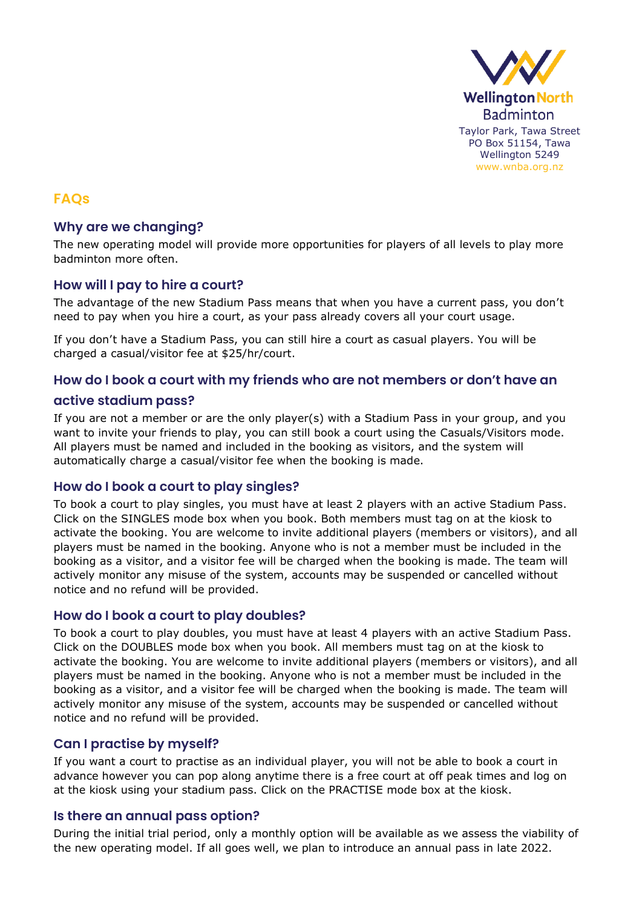

# **FAQs**

## **Why are we changing?**

The new operating model will provide more opportunities for players of all levels to play more badminton more often.

### **How will I pay to hire a court?**

The advantage of the new Stadium Pass means that when you have a current pass, you don't need to pay when you hire a court, as your pass already covers all your court usage.

If you don't have a Stadium Pass, you can still hire a court as casual players. You will be charged a casual/visitor fee at \$25/hr/court.

### **How do I book a court with my friends who are not members or don't have an**

### **active stadium pass?**

If you are not a member or are the only player(s) with a Stadium Pass in your group, and you want to invite your friends to play, you can still book a court using the Casuals/Visitors mode. All players must be named and included in the booking as visitors, and the system will automatically charge a casual/visitor fee when the booking is made.

## **How do I book a court to play singles?**

To book a court to play singles, you must have at least 2 players with an active Stadium Pass. Click on the SINGLES mode box when you book. Both members must tag on at the kiosk to activate the booking. You are welcome to invite additional players (members or visitors), and all players must be named in the booking. Anyone who is not a member must be included in the booking as a visitor, and a visitor fee will be charged when the booking is made. The team will actively monitor any misuse of the system, accounts may be suspended or cancelled without notice and no refund will be provided.

### **How do I book a court to play doubles?**

To book a court to play doubles, you must have at least 4 players with an active Stadium Pass. Click on the DOUBLES mode box when you book. All members must tag on at the kiosk to activate the booking. You are welcome to invite additional players (members or visitors), and all players must be named in the booking. Anyone who is not a member must be included in the booking as a visitor, and a visitor fee will be charged when the booking is made. The team will actively monitor any misuse of the system, accounts may be suspended or cancelled without notice and no refund will be provided.

## **Can I practise by myself?**

If you want a court to practise as an individual player, you will not be able to book a court in advance however you can pop along anytime there is a free court at off peak times and log on at the kiosk using your stadium pass. Click on the PRACTISE mode box at the kiosk.

## **Is there an annual pass option?**

During the initial trial period, only a monthly option will be available as we assess the viability of the new operating model. If all goes well, we plan to introduce an annual pass in late 2022.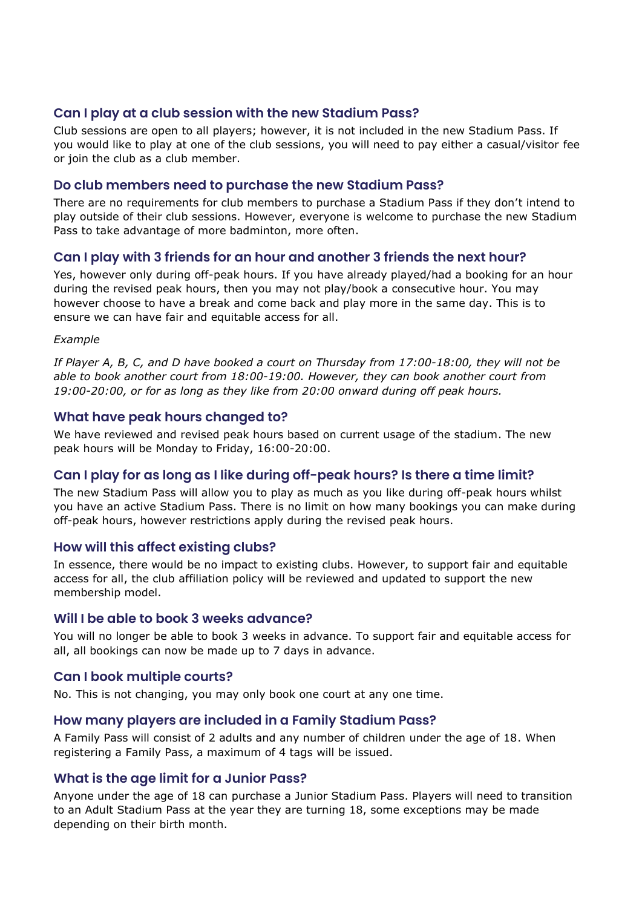## **Can I play at a club session with the new Stadium Pass?**

Club sessions are open to all players; however, it is not included in the new Stadium Pass. If you would like to play at one of the club sessions, you will need to pay either a casual/visitor fee or join the club as a club member.

### **Do club members need to purchase the new Stadium Pass?**

There are no requirements for club members to purchase a Stadium Pass if they don't intend to play outside of their club sessions. However, everyone is welcome to purchase the new Stadium Pass to take advantage of more badminton, more often.

## **Can I play with 3 friends for an hour and another 3 friends the next hour?**

Yes, however only during off-peak hours. If you have already played/had a booking for an hour during the revised peak hours, then you may not play/book a consecutive hour. You may however choose to have a break and come back and play more in the same day. This is to ensure we can have fair and equitable access for all.

#### *Example*

*If Player A, B, C, and D have booked a court on Thursday from 17:00-18:00, they will not be able to book another court from 18:00-19:00. However, they can book another court from 19:00-20:00, or for as long as they like from 20:00 onward during off peak hours.*

### **What have peak hours changed to?**

We have reviewed and revised peak hours based on current usage of the stadium. The new peak hours will be Monday to Friday, 16:00-20:00.

## **Can I play for as long as I like during off-peak hours? Is there a time limit?**

The new Stadium Pass will allow you to play as much as you like during off-peak hours whilst you have an active Stadium Pass. There is no limit on how many bookings you can make during off-peak hours, however restrictions apply during the revised peak hours.

### **How will this affect existing clubs?**

In essence, there would be no impact to existing clubs. However, to support fair and equitable access for all, the club affiliation policy will be reviewed and updated to support the new membership model.

### **Will I be able to book 3 weeks advance?**

You will no longer be able to book 3 weeks in advance. To support fair and equitable access for all, all bookings can now be made up to 7 days in advance.

### **Can I book multiple courts?**

No. This is not changing, you may only book one court at any one time.

### **How many players are included in a Family Stadium Pass?**

A Family Pass will consist of 2 adults and any number of children under the age of 18. When registering a Family Pass, a maximum of 4 tags will be issued.

## **What is the age limit for a Junior Pass?**

Anyone under the age of 18 can purchase a Junior Stadium Pass. Players will need to transition to an Adult Stadium Pass at the year they are turning 18, some exceptions may be made depending on their birth month.